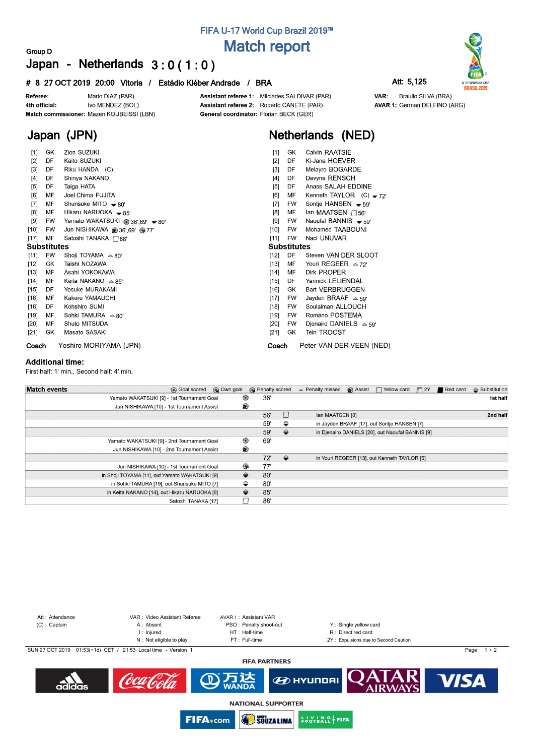## **FIFA U-17 World Cup Brazil 2019™ Match report**

#### **Group D Japan - Netherlands 3 : 0 ( 1 : 0 )**

#### **# 8 27 OCT 2019 20:00 Vitoria / Estádio Kléber Andrade / BRA Att: 5,125**



**Japan (JPN)**

Assistant referee 1: Milciades SALDIVAR (PAR) Assistant referee 2: Roberto CANETE (PAR) General coordinator: Florian BECK (GER)



### **Netherlands (NED)**

| [1]                | GK        | Zion SUZUKI                      | $[1]$  | GK                 | Calvin RAATSIE              |  |  |  |  |  |
|--------------------|-----------|----------------------------------|--------|--------------------|-----------------------------|--|--|--|--|--|
| $[2]$              | DF        | Kaito SUZUKI                     | $[2]$  | DF                 | Ki-Jana HOEVER              |  |  |  |  |  |
| $[3]$              | DF        | Riku HANDA (C)                   | $[3]$  | DF                 | Melayro BOGARDE             |  |  |  |  |  |
| [4]                | DF        | Shinya NAKANO                    | [4]    | DF                 | Devyne RENSCH               |  |  |  |  |  |
| [5]                | DF        | Taiga HATA                       | [5]    | DF                 | Anass SALAH EDDINE          |  |  |  |  |  |
| [6]                | МF        | Joel Chima FUJITA                | [6]    | МF                 | Kenneth TAYLOR $(C) - 72$   |  |  |  |  |  |
| [7]                | МF        | Shunsuke MITO $\rightarrow$ 80'  | $[7]$  | <b>FW</b>          | Sontje HANSEN $-59'$        |  |  |  |  |  |
| [8]                | МF        | Hikaru NARUOKA - 85'             | $[8]$  | MF                 | lan MAATSEN $\bigcap$ 56'   |  |  |  |  |  |
| $[9]$              | FW        | Yamato WAKATSUKI @ 36',69' ~ 80' | [9]    | FW                 | Naoufal BANNIS $-59'$       |  |  |  |  |  |
| $[10]$             | <b>FW</b> | Jun NISHIKAWA @ 36',69' @ 77'    | $[10]$ | <b>FW</b>          | Mohamed TAABOUNI            |  |  |  |  |  |
| $[17]$             | MF        | Satoshi TANAKA ∩88'              | $[11]$ | <b>FW</b>          | Naci UNUVAR                 |  |  |  |  |  |
| <b>Substitutes</b> |           |                                  |        | <b>Substitutes</b> |                             |  |  |  |  |  |
| $[11]$             | <b>FW</b> | Shoji TOYAMA $\approx 80'$       | $[12]$ | DF                 | Steven VAN DER SLOOT        |  |  |  |  |  |
| $[12]$             | GK        | Taishi NOZAWA                    | [13]   | МF                 | Youri REGEER $\approx$ 72'  |  |  |  |  |  |
| $[13]$             | МF        | Asahi YOKOKAWA                   | $[14]$ | MF                 | Dirk PROPER                 |  |  |  |  |  |
| $[14]$             | МF        | Keita NAKANO $\approx 85'$       | $[15]$ | DF                 | Yannick LELIENDAL           |  |  |  |  |  |
| $[15]$             | DF        | Yosuke MURAKAMI                  | $[16]$ | GK                 | <b>Bart VERBRUGGEN</b>      |  |  |  |  |  |
| $[16]$             | MF        | Kakeru YAMAUCHI                  | $[17]$ | FW                 | Jayden BRAAF $\approx$ 59   |  |  |  |  |  |
| $[18]$             | DF        | Kohshiro SUMI                    | $[18]$ | <b>FW</b>          | Soulaiman ALLOUCH           |  |  |  |  |  |
| $[19]$             | MF        | Sohki TAMURA $\approx 80'$       | $[19]$ | <b>FW</b>          | Romano POSTEMA              |  |  |  |  |  |
| $[20]$             | MF        | Shuto MITSUDA                    | $[20]$ | <b>FW</b>          | Djenairo DANIELS $\sim$ 59' |  |  |  |  |  |
| $[21]$             | GK        | Masato SASAKI                    | $[21]$ | GK                 | Tein TROOST                 |  |  |  |  |  |
| Coach              |           | Yoshiro MORIYAMA (JPN)           | Coach  |                    | Peter VAN DER VEEN (NED)    |  |  |  |  |  |

#### **Additional time:**

First half: 1' min., Second half: 4' min.

| <b>Match events</b> | <b>B</b> Goal scored                           | © Own goal | <b>B</b> Penalty scored |               | - Penalty missed | Assist | □ Yellow card                                    | $\Box$ 2Y | Red card | $\triangle$ Substitution |
|---------------------|------------------------------------------------|------------|-------------------------|---------------|------------------|--------|--------------------------------------------------|-----------|----------|--------------------------|
|                     | Yamato WAKATSUKI [9] - 1st Tournament Goal     | ⊛          | 36'                     |               |                  |        |                                                  |           |          | 1st half                 |
|                     | Jun NISHIKAWA [10] - 1st Tournament Assist     | ®          |                         |               |                  |        |                                                  |           |          |                          |
|                     |                                                |            | 56'                     |               | Ian MAATSEN [8]  |        |                                                  |           |          | 2nd half                 |
|                     |                                                |            | 59'                     | ⇔             |                  |        | in Jayden BRAAF [17], out Sontje HANSEN [7]      |           |          |                          |
|                     |                                                |            | 59'                     | $\Rightarrow$ |                  |        | in Djenairo DANIELS [20], out Naoufal BANNIS [9] |           |          |                          |
|                     | Yamato WAKATSUKI [9] - 2nd Tournament Goal     | ◉          | 69'                     |               |                  |        |                                                  |           |          |                          |
|                     | Jun NISHIKAWA [10] - 2nd Tournament Assist     | ®          |                         |               |                  |        |                                                  |           |          |                          |
|                     |                                                |            | 72'                     | $\Rightarrow$ |                  |        | in Youri REGEER [13], out Kenneth TAYLOR [6]     |           |          |                          |
|                     | Jun NISHIKAWA [10] - 1st Tournament Goal       | ِ⊕         | 77'                     |               |                  |        |                                                  |           |          |                          |
|                     | in Shoji TOYAMA [11], out Yamato WAKATSUKI [9] | ⇔          | 80'                     |               |                  |        |                                                  |           |          |                          |
|                     | in Sohki TAMURA [19], out Shunsuke MITO [7]    | ⇔          | 80'                     |               |                  |        |                                                  |           |          |                          |
|                     | in Keita NAKANO [14], out Hikaru NARUOKA [8]   | ⇔          | 85'                     |               |                  |        |                                                  |           |          |                          |
|                     | Satoshi TANAKA [17]                            |            | 88'                     |               |                  |        |                                                  |           |          |                          |





VAR: Braulio SILVA (BRA) **AVAR 1: German DELFINO (ARG)**